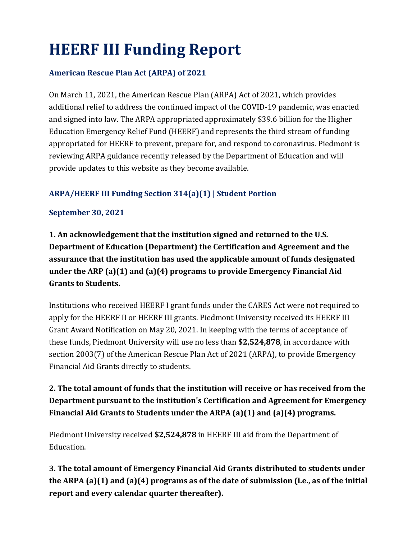# **HEERF III Funding Report**

#### **American Rescue Plan Act (ARPA) of 2021**

On March 11, 2021, the American Rescue Plan (ARPA) Act of 2021, which provides additional relief to address the continued impact of the COVID-19 pandemic, was enacted and signed into law. The ARPA appropriated approximately \$39.6 billion for the Higher Education Emergency Relief Fund (HEERF) and represents the third stream of funding appropriated for HEERF to prevent, prepare for, and respond to coronavirus. Piedmont is reviewing ARPA guidance recently released by the Department of Education and will provide updates to this website as they become available.

#### **ARPA/HEERF III Funding Section 314(a)(1) | Student Portion**

#### **September 30, 2021**

**1. An acknowledgement that the institution signed and returned to the U.S. Department of Education (Department) the Certification and Agreement and the assurance that the institution has used the applicable amount of funds designated under the ARP (a)(1) and (a)(4) programs to provide Emergency Financial Aid Grants to Students.**

Institutions who received HEERF I grant funds under the CARES Act were not required to apply for the HEERF II or HEERF III grants. Piedmont University received its HEERF III Grant Award Notification on May 20, 2021. In keeping with the terms of acceptance of these funds, Piedmont University will use no less than **\$2,524,878**, in accordance with section 2003(7) of the American Rescue Plan Act of 2021 (ARPA), to provide Emergency Financial Aid Grants directly to students.

## **2. The total amount of funds that the institution will receive or has received from the Department pursuant to the institution's Certification and Agreement for Emergency Financial Aid Grants to Students under the ARPA (a)(1) and (a)(4) programs.**

Piedmont University received **\$2,524,878** in HEERF III aid from the Department of Education.

**3. The total amount of Emergency Financial Aid Grants distributed to students under the ARPA (a)(1) and (a)(4) programs as of the date of submission (i.e., as of the initial report and every calendar quarter thereafter).**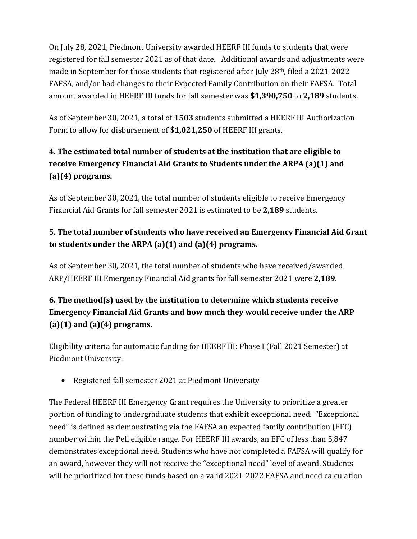On July 28, 2021, Piedmont University awarded HEERF III funds to students that were registered for fall semester 2021 as of that date. Additional awards and adjustments were made in September for those students that registered after July 28th, filed a 2021-2022 FAFSA, and/or had changes to their Expected Family Contribution on their FAFSA. Total amount awarded in HEERF III funds for fall semester was **\$1,390,750** to **2,189** students.

As of September 30, 2021, a total of **1503** students submitted a HEERF III Authorization Form to allow for disbursement of **\$1,021,250** of HEERF III grants.

# **4. The estimated total number of students at the institution that are eligible to receive Emergency Financial Aid Grants to Students under the ARPA (a)(1) and (a)(4) programs.**

As of September 30, 2021, the total number of students eligible to receive Emergency Financial Aid Grants for fall semester 2021 is estimated to be **2,189** students.

# **5. The total number of students who have received an Emergency Financial Aid Grant to students under the ARPA (a)(1) and (a)(4) programs.**

As of September 30, 2021, the total number of students who have received/awarded ARP/HEERF III Emergency Financial Aid grants for fall semester 2021 were **2,189**.

## **6. The method(s) used by the institution to determine which students receive Emergency Financial Aid Grants and how much they would receive under the ARP (a)(1) and (a)(4) programs.**

Eligibility criteria for automatic funding for HEERF III: Phase I (Fall 2021 Semester) at Piedmont University:

• Registered fall semester 2021 at Piedmont University

The Federal HEERF III Emergency Grant requires the University to prioritize a greater portion of funding to undergraduate students that exhibit exceptional need. "Exceptional need" is defined as demonstrating via the FAFSA an expected family contribution (EFC) number within the Pell eligible range. For HEERF III awards, an EFC of less than 5,847 demonstrates exceptional need. Students who have not completed a FAFSA will qualify for an award, however they will not receive the "exceptional need" level of award. Students will be prioritized for these funds based on a valid 2021-2022 FAFSA and need calculation